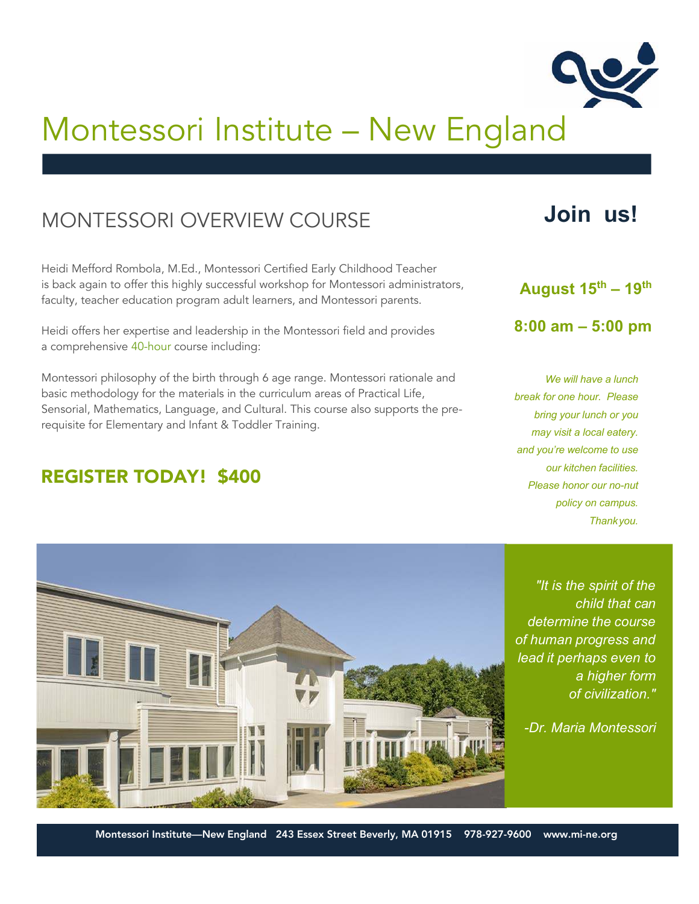

## MONTESSORI OVERVIEW COURSE

Heidi Mefford Rombola, M.Ed., Montessori Certified Early Childhood Teacher is back again to offer this highly successful workshop for Montessori administrators, faculty, teacher education program adult learners, and Montessori parents.

Heidi offers her expertise and leadership in the Montessori field and provides a comprehensive 40-hour course including:

Montessori philosophy of the birth through 6 age range. Montessori rationale and basic methodology for the materials in the curriculum areas of Practical Life, Sensorial, Mathematics, Language, and Cultural. This course also supports the prerequisite for Elementary and Infant & Toddler Training.

### REGISTER TODAY! \$400

# **Join us!**

#### **August 15 th – 19 th**

**8:00 am – 5:00 pm**

*We will have a lunch break for one hour. Please bring your lunch or you may visit a local eatery. and you're welcome to use our kitchen facilities. Please honor our no-nut policy on campus. Thankyou.*



*"It is the spirit of the child that can determine the course of human progress and lead it perhaps even to a higher form of civilization."* 

*-Dr. Maria Montessori*